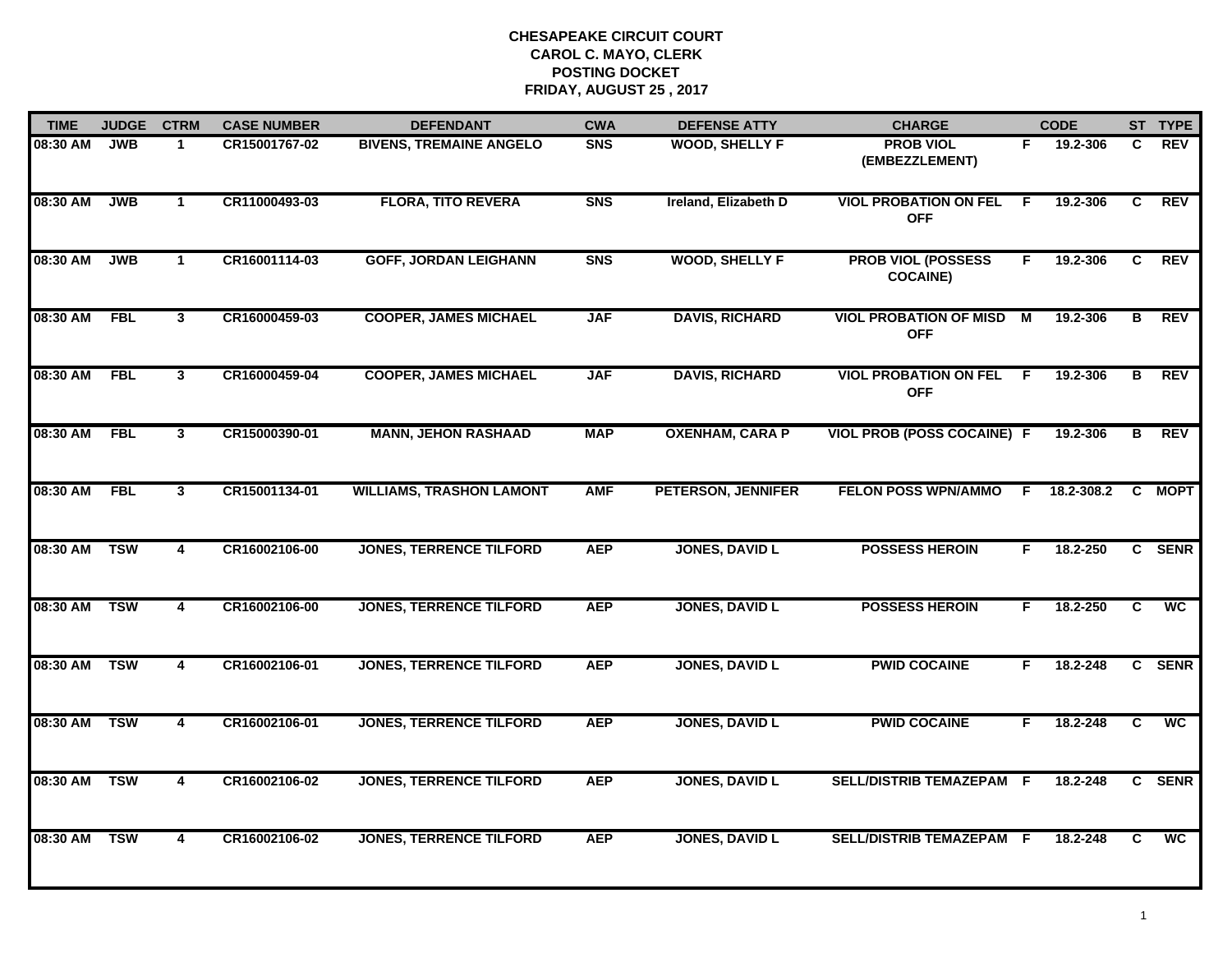| <b>TIME</b>  | <b>JUDGE</b> | <b>CTRM</b>             | <b>CASE NUMBER</b> | <b>DEFENDANT</b>                | <b>CWA</b> | <b>DEFENSE ATTY</b>       | <b>CHARGE</b>                                |     | <b>CODE</b> |                | ST TYPE         |
|--------------|--------------|-------------------------|--------------------|---------------------------------|------------|---------------------------|----------------------------------------------|-----|-------------|----------------|-----------------|
| 08:30 AM     | <b>JWB</b>   | 1.                      | CR15001767-02      | <b>BIVENS, TREMAINE ANGELO</b>  | <b>SNS</b> | <b>WOOD, SHELLY F</b>     | <b>PROB VIOL</b><br>(EMBEZZLEMENT)           | F.  | 19.2-306    | C.             | REV             |
| 08:30 AM     | <b>JWB</b>   | $\mathbf 1$             | CR11000493-03      | <b>FLORA, TITO REVERA</b>       | <b>SNS</b> | Ireland, Elizabeth D      | <b>VIOL PROBATION ON FEL</b><br><b>OFF</b>   | -F. | 19.2-306    | C              | <b>REV</b>      |
| 08:30 AM     | <b>JWB</b>   | $\mathbf 1$             | CR16001114-03      | <b>GOFF, JORDAN LEIGHANN</b>    | <b>SNS</b> | <b>WOOD, SHELLY F</b>     | <b>PROB VIOL (POSSESS</b><br><b>COCAINE)</b> | F.  | 19.2-306    | C              | <b>REV</b>      |
| 08:30 AM     | <b>FBL</b>   | 3                       | CR16000459-03      | <b>COOPER, JAMES MICHAEL</b>    | <b>JAF</b> | <b>DAVIS, RICHARD</b>     | <b>VIOL PROBATION OF MISD</b><br><b>OFF</b>  | M   | 19.2-306    | в              | <b>REV</b>      |
| 08:30 AM     | <b>FBL</b>   | 3                       | CR16000459-04      | <b>COOPER, JAMES MICHAEL</b>    | <b>JAF</b> | <b>DAVIS, RICHARD</b>     | <b>VIOL PROBATION ON FEL F</b><br><b>OFF</b> |     | 19.2-306    | B              | <b>REV</b>      |
| 08:30 AM     | <b>FBL</b>   | $\overline{\mathbf{3}}$ | CR15000390-01      | <b>MANN, JEHON RASHAAD</b>      | <b>MAP</b> | <b>OXENHAM, CARA P</b>    | <b>VIOL PROB (POSS COCAINE) F</b>            |     | 19.2-306    | в              | <b>REV</b>      |
| 08:30 AM     | FBL          | $\mathbf{3}$            | CR15001134-01      | <b>WILLIAMS, TRASHON LAMONT</b> | <b>AMF</b> | <b>PETERSON, JENNIFER</b> | <b>FELON POSS WPN/AMMO</b>                   | F.  | 18.2-308.2  |                | C MOPT          |
| 08:30 AM     | <b>TSW</b>   | 4                       | CR16002106-00      | <b>JONES, TERRENCE TILFORD</b>  | <b>AEP</b> | <b>JONES, DAVID L</b>     | <b>POSSESS HEROIN</b>                        | F.  | 18.2-250    |                | C SENR          |
| 08:30 AM     | <b>TSW</b>   | 4                       | CR16002106-00      | <b>JONES, TERRENCE TILFORD</b>  | <b>AEP</b> | <b>JONES, DAVID L</b>     | <b>POSSESS HEROIN</b>                        | F.  | 18.2-250    | C              | <b>WC</b>       |
| 08:30 AM TSW |              | 4                       | CR16002106-01      | <b>JONES, TERRENCE TILFORD</b>  | <b>AEP</b> | <b>JONES, DAVID L</b>     | <b>PWID COCAINE</b>                          | F.  | 18.2-248    |                | C SENR          |
| 08:30 AM     | <b>TSW</b>   | $\overline{\mathbf{4}}$ | CR16002106-01      | <b>JONES, TERRENCE TILFORD</b>  | <b>AEP</b> | <b>JONES, DAVID L</b>     | <b>PWID COCAINE</b>                          | F.  | 18.2-248    | $\overline{c}$ | $\overline{wc}$ |
| 08:30 AM     | <b>TSW</b>   | $\overline{4}$          | CR16002106-02      | <b>JONES, TERRENCE TILFORD</b>  | <b>AEP</b> | <b>JONES, DAVID L</b>     | SELL/DISTRIB TEMAZEPAM F                     |     | 18.2-248    |                | C SENR          |
| 08:30 AM     | <b>TSW</b>   | 4                       | CR16002106-02      | <b>JONES, TERRENCE TILFORD</b>  | <b>AEP</b> | <b>JONES, DAVID L</b>     | SELL/DISTRIB TEMAZEPAM F                     |     | 18.2-248    | C              | $\overline{wc}$ |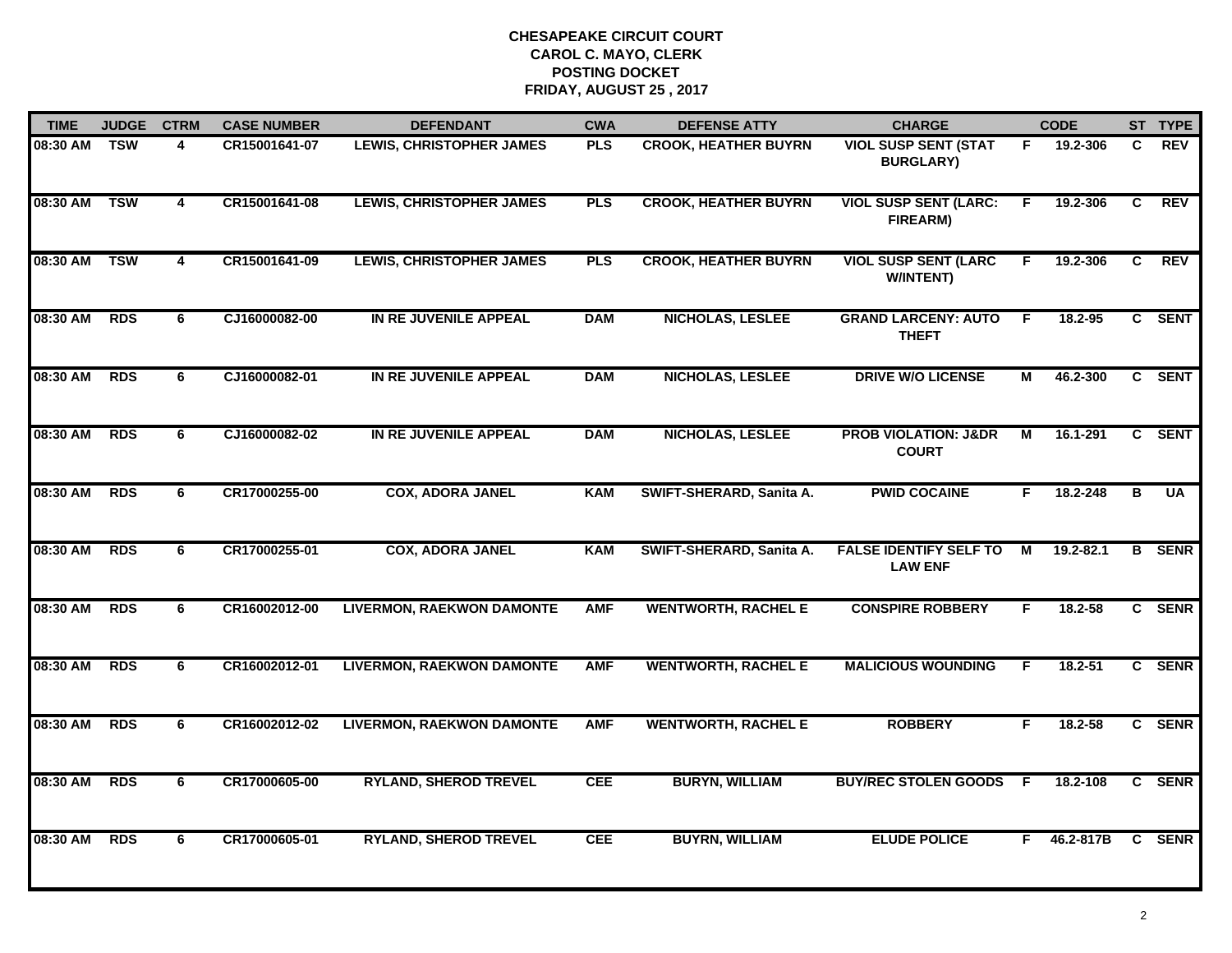| <b>TIME</b> | <b>JUDGE</b> | <b>CTRM</b>             | <b>CASE NUMBER</b> | <b>DEFENDANT</b>                 | <b>CWA</b> | <b>DEFENSE ATTY</b>         | <b>CHARGE</b>                                   |    | <b>CODE</b> |                | ST TYPE       |
|-------------|--------------|-------------------------|--------------------|----------------------------------|------------|-----------------------------|-------------------------------------------------|----|-------------|----------------|---------------|
| 08:30 AM    | TSW          | 4                       | CR15001641-07      | <b>LEWIS, CHRISTOPHER JAMES</b>  | <b>PLS</b> | <b>CROOK, HEATHER BUYRN</b> | <b>VIOL SUSP SENT (STAT</b><br><b>BURGLARY)</b> | F. | 19.2-306    | C              | <b>REV</b>    |
| 08:30 AM    | <b>TSW</b>   | $\overline{\mathbf{4}}$ | CR15001641-08      | <b>LEWIS, CHRISTOPHER JAMES</b>  | <b>PLS</b> | <b>CROOK, HEATHER BUYRN</b> | <b>VIOL SUSP SENT (LARC:</b><br>FIREARM)        | E  | 19.2-306    | C              | REV           |
| 08:30 AM    | <b>TSW</b>   | $\overline{\mathbf{4}}$ | CR15001641-09      | <b>LEWIS, CHRISTOPHER JAMES</b>  | <b>PLS</b> | <b>CROOK, HEATHER BUYRN</b> | <b>VIOL SUSP SENT (LARC</b><br><b>W/INTENT)</b> | F. | 19.2-306    | $\overline{c}$ | REV           |
| 08:30 AM    | <b>RDS</b>   | 6                       | CJ16000082-00      | IN RE JUVENILE APPEAL            | <b>DAM</b> | <b>NICHOLAS, LESLEE</b>     | <b>GRAND LARCENY: AUTO</b><br><b>THEFT</b>      | F. | 18.2-95     |                | C SENT        |
| 08:30 AM    | <b>RDS</b>   | 6                       | CJ16000082-01      | IN RE JUVENILE APPEAL            | <b>DAM</b> | <b>NICHOLAS, LESLEE</b>     | <b>DRIVE W/O LICENSE</b>                        | М  | 46.2-300    |                | C SENT        |
| 08:30 AM    | <b>RDS</b>   | 6                       | CJ16000082-02      | IN RE JUVENILE APPEAL            | <b>DAM</b> | <b>NICHOLAS, LESLEE</b>     | <b>PROB VIOLATION: J&amp;DR</b><br><b>COURT</b> | М  | 16.1-291    | C              | <b>SENT</b>   |
| 08:30 AM    | <b>RDS</b>   | 6                       | CR17000255-00      | <b>COX, ADORA JANEL</b>          | <b>KAM</b> | SWIFT-SHERARD, Sanita A.    | <b>PWID COCAINE</b>                             | F. | 18.2-248    | B              | <b>UA</b>     |
| 08:30 AM    | <b>RDS</b>   | 6                       | CR17000255-01      | <b>COX, ADORA JANEL</b>          | <b>KAM</b> | SWIFT-SHERARD, Sanita A.    | <b>FALSE IDENTIFY SELF TO</b><br><b>LAW ENF</b> | М  | 19.2-82.1   |                | <b>B</b> SENR |
| 08:30 AM    | <b>RDS</b>   | 6                       | CR16002012-00      | <b>LIVERMON, RAEKWON DAMONTE</b> | <b>AMF</b> | <b>WENTWORTH, RACHEL E</b>  | <b>CONSPIRE ROBBERY</b>                         | F. | 18.2-58     |                | C SENR        |
| 08:30 AM    | <b>RDS</b>   | 6                       | CR16002012-01      | <b>LIVERMON, RAEKWON DAMONTE</b> | <b>AMF</b> | <b>WENTWORTH, RACHEL E</b>  | <b>MALICIOUS WOUNDING</b>                       | F. | 18.2-51     |                | C SENR        |
| 08:30 AM    | <b>RDS</b>   | 6                       | CR16002012-02      | <b>LIVERMON, RAEKWON DAMONTE</b> | <b>AMF</b> | <b>WENTWORTH, RACHEL E</b>  | <b>ROBBERY</b>                                  | F. | 18.2-58     |                | C SENR        |
| 08:30 AM    | <b>RDS</b>   | 6                       | CR17000605-00      | <b>RYLAND, SHEROD TREVEL</b>     | <b>CEE</b> | <b>BURYN, WILLIAM</b>       | <b>BUY/REC STOLEN GOODS</b>                     | -F | 18.2-108    |                | C SENR        |
| 08:30 AM    | <b>RDS</b>   | 6                       | CR17000605-01      | <b>RYLAND, SHEROD TREVEL</b>     | <b>CEE</b> | <b>BUYRN, WILLIAM</b>       | <b>ELUDE POLICE</b>                             | F. | 46.2-817B   |                | C SENR        |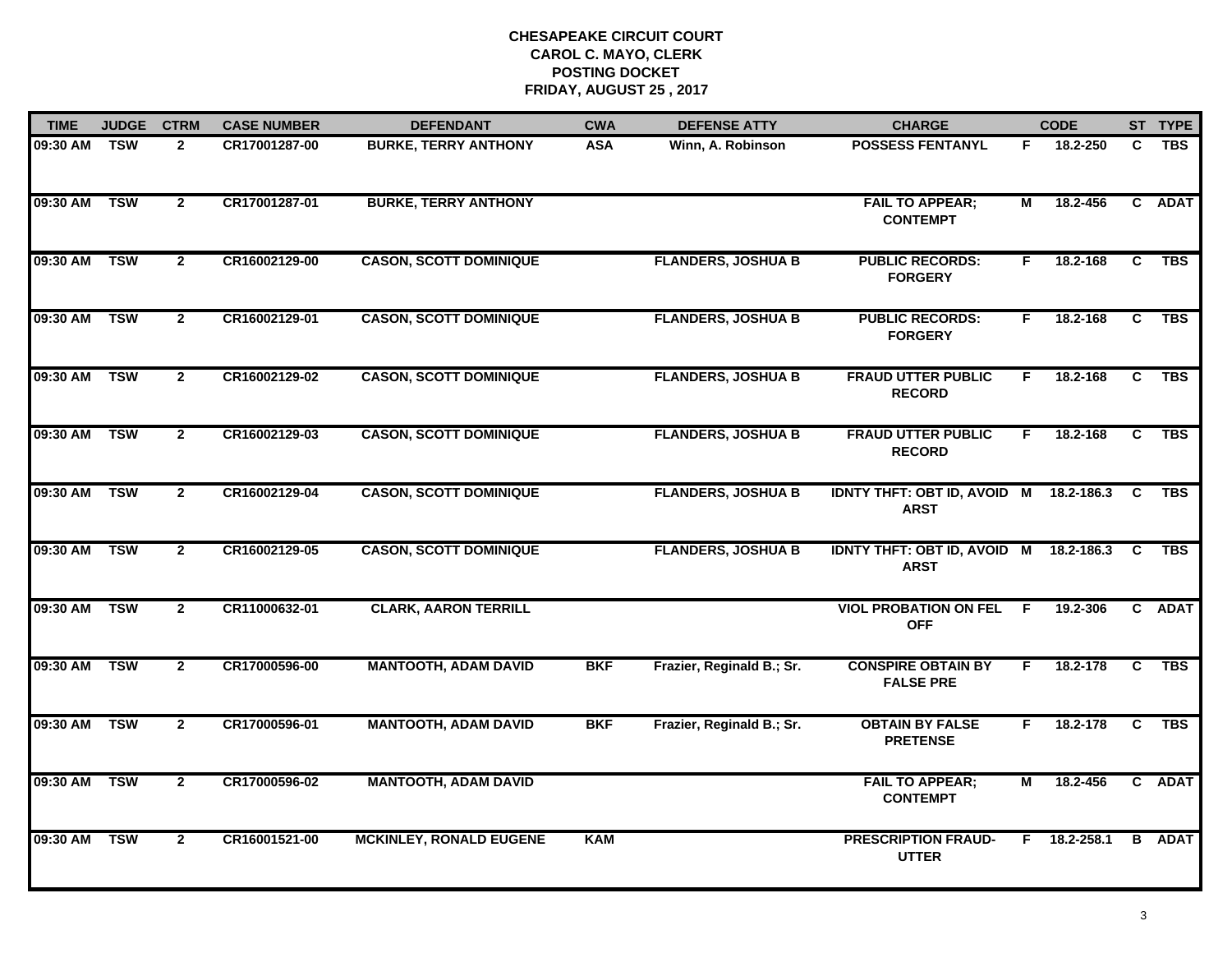| <b>TIME</b> | <b>JUDGE</b> | <b>CTRM</b>    | <b>CASE NUMBER</b> | <b>DEFENDANT</b>               | <b>CWA</b> | <b>DEFENSE ATTY</b>       | <b>CHARGE</b>                                         |                | <b>CODE</b> |              | ST TYPE       |
|-------------|--------------|----------------|--------------------|--------------------------------|------------|---------------------------|-------------------------------------------------------|----------------|-------------|--------------|---------------|
| 09:30 AM    | TSW          | $\mathbf{2}$   | CR17001287-00      | <b>BURKE, TERRY ANTHONY</b>    | <b>ASA</b> | Winn, A. Robinson         | <b>POSSESS FENTANYL</b>                               | F.             | 18.2-250    | C            | <b>TBS</b>    |
| 09:30 AM    | <b>TSW</b>   | $\overline{2}$ | CR17001287-01      | <b>BURKE, TERRY ANTHONY</b>    |            |                           | <b>FAIL TO APPEAR;</b><br><b>CONTEMPT</b>             | М              | 18.2-456    | $\mathbf{c}$ | <b>ADAT</b>   |
| 09:30 AM    | <b>TSW</b>   | $\mathbf{2}$   | CR16002129-00      | <b>CASON, SCOTT DOMINIQUE</b>  |            | <b>FLANDERS, JOSHUA B</b> | <b>PUBLIC RECORDS:</b><br><b>FORGERY</b>              | F.             | 18.2-168    | C            | <b>TBS</b>    |
| 09:30 AM    | <b>TSW</b>   | $\mathbf{2}$   | CR16002129-01      | <b>CASON, SCOTT DOMINIQUE</b>  |            | <b>FLANDERS, JOSHUA B</b> | <b>PUBLIC RECORDS:</b><br><b>FORGERY</b>              | F.             | 18.2-168    | C            | <b>TBS</b>    |
| 09:30 AM    | <b>TSW</b>   | $\mathbf{2}$   | CR16002129-02      | <b>CASON, SCOTT DOMINIQUE</b>  |            | <b>FLANDERS, JOSHUA B</b> | <b>FRAUD UTTER PUBLIC</b><br><b>RECORD</b>            | F.             | 18.2-168    | C            | <b>TBS</b>    |
| 09:30 AM    | <b>TSW</b>   | $\mathbf{2}$   | CR16002129-03      | <b>CASON, SCOTT DOMINIQUE</b>  |            | <b>FLANDERS, JOSHUA B</b> | <b>FRAUD UTTER PUBLIC</b><br><b>RECORD</b>            | F.             | 18.2-168    | C            | <b>TBS</b>    |
| 09:30 AM    | <b>TSW</b>   | $\overline{2}$ | CR16002129-04      | <b>CASON, SCOTT DOMINIQUE</b>  |            | <b>FLANDERS, JOSHUA B</b> | <b>IDNTY THFT: OBT ID, AVOID M</b><br><b>ARST</b>     |                | 18.2-186.3  | C            | <b>TBS</b>    |
| 09:30 AM    | <b>TSW</b>   | $\mathbf{2}$   | CR16002129-05      | <b>CASON, SCOTT DOMINIQUE</b>  |            | <b>FLANDERS, JOSHUA B</b> | IDNTY THFT: OBT ID, AVOID M 18.2-186.3<br><b>ARST</b> |                |             | C            | <b>TBS</b>    |
| 09:30 AM    | <b>TSW</b>   | $\mathbf{2}$   | CR11000632-01      | <b>CLARK, AARON TERRILL</b>    |            |                           | <b>VIOL PROBATION ON FEL</b><br><b>OFF</b>            | -F.            | 19.2-306    |              | C ADAT        |
| 09:30 AM    | <b>TSW</b>   | $\mathbf{2}$   | CR17000596-00      | <b>MANTOOTH, ADAM DAVID</b>    | <b>BKF</b> | Frazier, Reginald B.; Sr. | <b>CONSPIRE OBTAIN BY</b><br><b>FALSE PRE</b>         | F.             | 18.2-178    | C            | TBS           |
| 09:30 AM    | <b>TSW</b>   | $\mathbf{2}$   | CR17000596-01      | <b>MANTOOTH, ADAM DAVID</b>    | <b>BKF</b> | Frazier, Reginald B.; Sr. | <b>OBTAIN BY FALSE</b><br><b>PRETENSE</b>             | F.             | 18.2-178    | C            | <b>TBS</b>    |
| 09:30 AM    | <b>TSW</b>   | $\mathbf{2}$   | CR17000596-02      | <b>MANTOOTH, ADAM DAVID</b>    |            |                           | <b>FAIL TO APPEAR;</b><br><b>CONTEMPT</b>             | $\overline{M}$ | 18.2-456    |              | C ADAT        |
| 09:30 AM    | <b>TSW</b>   | $\mathbf{2}$   | CR16001521-00      | <b>MCKINLEY, RONALD EUGENE</b> | <b>KAM</b> |                           | <b>PRESCRIPTION FRAUD-</b><br><b>UTTER</b>            | F.             | 18.2-258.1  |              | <b>B</b> ADAT |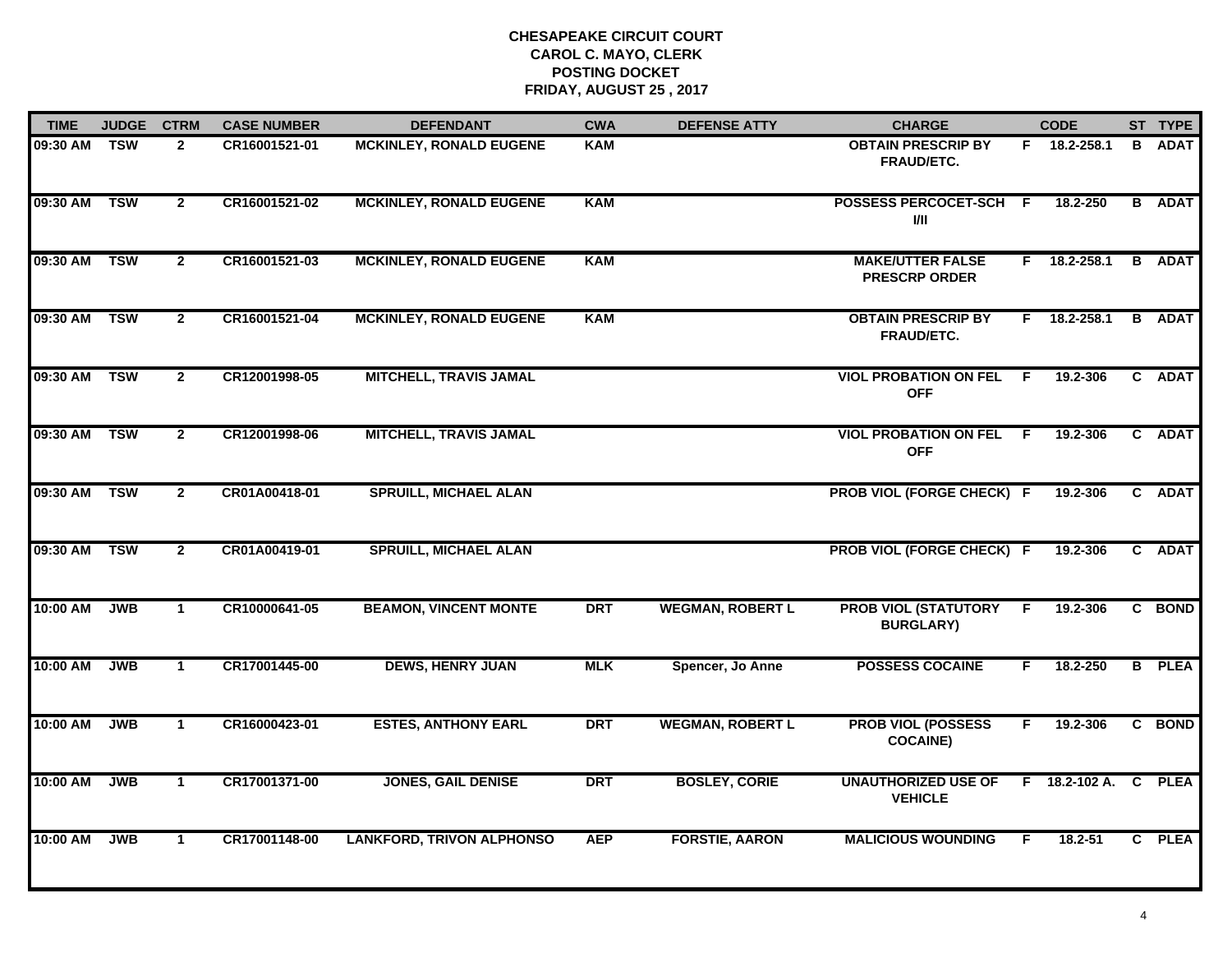| <b>TIME</b>  | <b>JUDGE</b> | <b>CTRM</b>    | <b>CASE NUMBER</b> | <b>DEFENDANT</b>                 | <b>CWA</b> | <b>DEFENSE ATTY</b>     | <b>CHARGE</b>                                   |    | <b>CODE</b>          |                | ST TYPE       |
|--------------|--------------|----------------|--------------------|----------------------------------|------------|-------------------------|-------------------------------------------------|----|----------------------|----------------|---------------|
| 09:30 AM     | <b>TSW</b>   | $\mathbf{2}$   | CR16001521-01      | <b>MCKINLEY, RONALD EUGENE</b>   | <b>KAM</b> |                         | <b>OBTAIN PRESCRIP BY</b><br><b>FRAUD/ETC.</b>  |    | F 18.2-258.1         | B              | <b>ADAT</b>   |
| 09:30 AM     | <b>TSW</b>   | $\overline{2}$ | CR16001521-02      | <b>MCKINLEY, RONALD EUGENE</b>   | <b>KAM</b> |                         | POSSESS PERCOCET-SCH F<br>I/II                  |    | 18.2-250             |                | <b>B</b> ADAT |
| 09:30 AM     | <b>TSW</b>   | $\overline{2}$ | CR16001521-03      | <b>MCKINLEY, RONALD EUGENE</b>   | <b>KAM</b> |                         | <b>MAKE/UTTER FALSE</b><br><b>PRESCRP ORDER</b> |    | $F$ 18.2-258.1       |                | <b>B</b> ADAT |
| 09:30 AM     | <b>TSW</b>   | $\mathbf{2}$   | CR16001521-04      | <b>MCKINLEY, RONALD EUGENE</b>   | <b>KAM</b> |                         | <b>OBTAIN PRESCRIP BY</b><br>FRAUD/ETC.         | F. | 18.2-258.1           |                | <b>B</b> ADAT |
| 09:30 AM     | <b>TSW</b>   | $\overline{2}$ | CR12001998-05      | <b>MITCHELL, TRAVIS JAMAL</b>    |            |                         | <b>VIOL PROBATION ON FEL</b><br><b>OFF</b>      | F. | 19.2-306             |                | C ADAT        |
| 09:30 AM TSW |              | $\mathbf{2}$   | CR12001998-06      | <b>MITCHELL, TRAVIS JAMAL</b>    |            |                         | <b>VIOL PROBATION ON FEL F</b><br><b>OFF</b>    |    | 19.2-306             |                | C ADAT        |
| 09:30 AM     | <b>TSW</b>   | $\overline{2}$ | CR01A00418-01      | <b>SPRUILL, MICHAEL ALAN</b>     |            |                         | <b>PROB VIOL (FORGE CHECK) F</b>                |    | 19.2-306             | $\overline{c}$ | <b>ADAT</b>   |
| 09:30 AM     | <b>TSW</b>   | $\overline{2}$ | CR01A00419-01      | <b>SPRUILL, MICHAEL ALAN</b>     |            |                         | PROB VIOL (FORGE CHECK) F                       |    | 19.2-306             |                | C ADAT        |
| 10:00 AM     | <b>JWB</b>   | $\mathbf 1$    | CR10000641-05      | <b>BEAMON, VINCENT MONTE</b>     | <b>DRT</b> | <b>WEGMAN, ROBERT L</b> | <b>PROB VIOL (STATUTORY</b><br><b>BURGLARY)</b> | E  | 19.2-306             |                | C BOND        |
| 10:00 AM     | <b>JWB</b>   | $\mathbf{1}$   | CR17001445-00      | <b>DEWS, HENRY JUAN</b>          | <b>MLK</b> | Spencer, Jo Anne        | <b>POSSESS COCAINE</b>                          | F. | 18.2-250             |                | <b>B</b> PLEA |
| 10:00 AM     | <b>JWB</b>   | $\mathbf{1}$   | CR16000423-01      | <b>ESTES, ANTHONY EARL</b>       | <b>DRT</b> | <b>WEGMAN, ROBERT L</b> | <b>PROB VIOL (POSSESS</b><br><b>COCAINE)</b>    | F. | 19.2-306             |                | C BOND        |
| 10:00 AM     | <b>JWB</b>   | $\mathbf{1}$   | CR17001371-00      | <b>JONES, GAIL DENISE</b>        | <b>DRT</b> | <b>BOSLEY, CORIE</b>    | <b>UNAUTHORIZED USE OF</b><br><b>VEHICLE</b>    |    | $F = 18.2 - 102 A$ . | $\mathbf{C}$   | <b>PLEA</b>   |
| 10:00 AM     | <b>JWB</b>   | $\mathbf{1}$   | CR17001148-00      | <b>LANKFORD, TRIVON ALPHONSO</b> | <b>AEP</b> | <b>FORSTIE, AARON</b>   | <b>MALICIOUS WOUNDING</b>                       | F. | 18.2-51              |                | C PLEA        |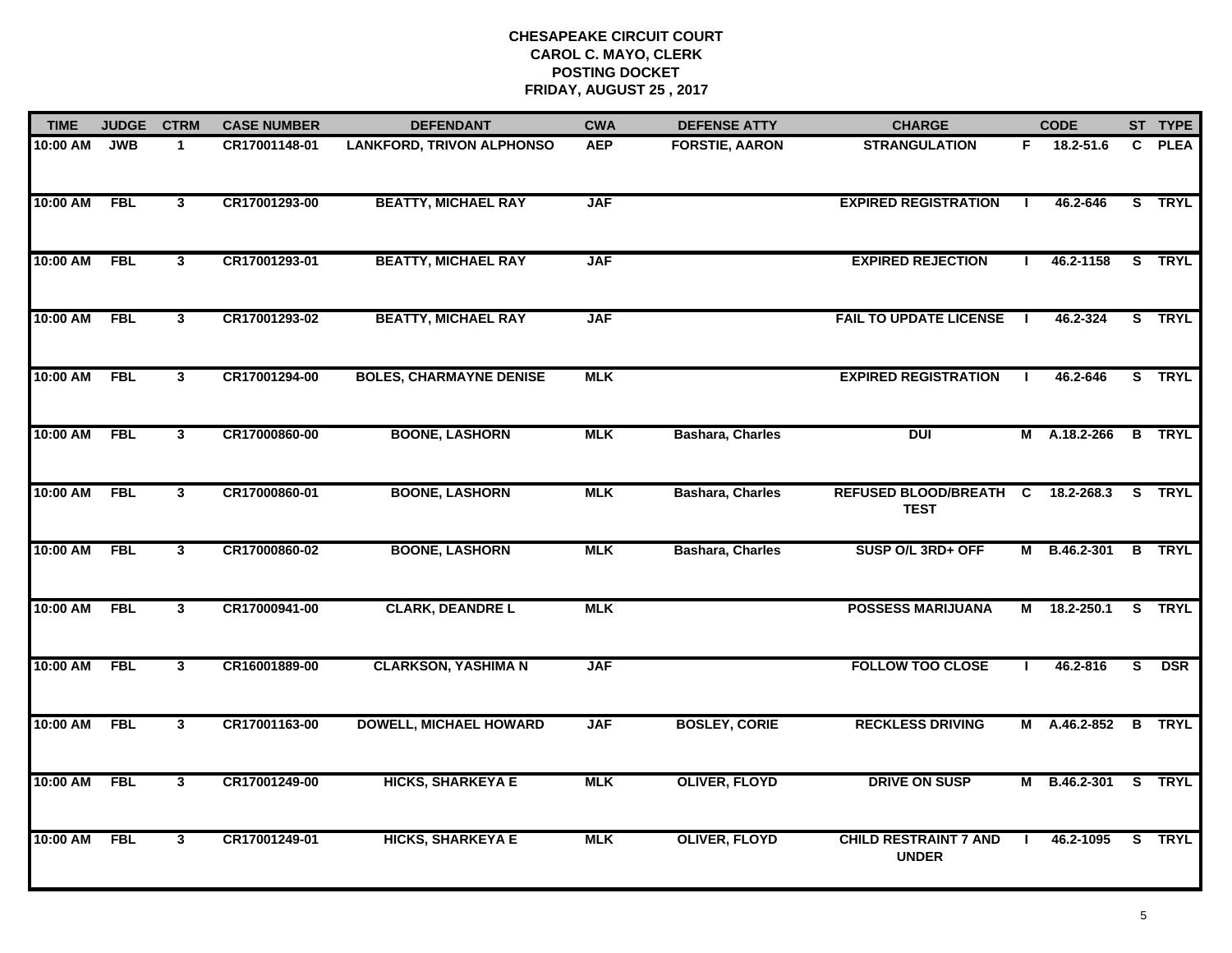| <b>TIME</b> | <b>JUDGE</b> | <b>CTRM</b>  | <b>CASE NUMBER</b> | <b>DEFENDANT</b>                 | <b>CWA</b> | <b>DEFENSE ATTY</b>     | <b>CHARGE</b>                                |                | <b>CODE</b>         |                         | ST TYPE       |
|-------------|--------------|--------------|--------------------|----------------------------------|------------|-------------------------|----------------------------------------------|----------------|---------------------|-------------------------|---------------|
| 10:00 AM    | <b>JWB</b>   | $\mathbf{1}$ | CR17001148-01      | <b>LANKFORD, TRIVON ALPHONSO</b> | <b>AEP</b> | <b>FORSTIE, AARON</b>   | <b>STRANGULATION</b>                         | F.             | 18.2-51.6           |                         | C PLEA        |
| 10:00 AM    | <b>FBL</b>   | $\mathbf{3}$ | CR17001293-00      | <b>BEATTY, MICHAEL RAY</b>       | <b>JAF</b> |                         | <b>EXPIRED REGISTRATION</b>                  |                | 46.2-646            |                         | S TRYL        |
| 10:00 AM    | <b>FBL</b>   | $\mathbf{3}$ | CR17001293-01      | <b>BEATTY, MICHAEL RAY</b>       | <b>JAF</b> |                         | <b>EXPIRED REJECTION</b>                     |                | 46.2-1158           |                         | S TRYL        |
| 10:00 AM    | <b>FBL</b>   | $\mathbf{3}$ | CR17001293-02      | <b>BEATTY, MICHAEL RAY</b>       | <b>JAF</b> |                         | <b>FAIL TO UPDATE LICENSE</b>                | $\mathbf{I}$   | 46.2-324            |                         | S TRYL        |
| 10:00 AM    | <b>FBL</b>   | 3            | CR17001294-00      | <b>BOLES, CHARMAYNE DENISE</b>   | <b>MLK</b> |                         | <b>EXPIRED REGISTRATION</b>                  |                | 46.2-646            |                         | S TRYL        |
| 10:00 AM    | <b>FBL</b>   | $\mathbf{3}$ | CR17000860-00      | <b>BOONE, LASHORN</b>            | <b>MLK</b> | <b>Bashara, Charles</b> | <b>DUI</b>                                   |                | M A.18.2-266        |                         | <b>B</b> TRYL |
| 10:00 AM    | <b>FBL</b>   | 3            | CR17000860-01      | <b>BOONE, LASHORN</b>            | <b>MLK</b> | <b>Bashara, Charles</b> | <b>REFUSED BLOOD/BREATH</b><br><b>TEST</b>   | $\overline{c}$ | 18.2-268.3          |                         | S TRYL        |
| 10:00 AM    | <b>FBL</b>   | $\mathbf{3}$ | CR17000860-02      | <b>BOONE, LASHORN</b>            | <b>MLK</b> | <b>Bashara, Charles</b> | SUSP O/L 3RD+ OFF                            |                | M B.46.2-301        |                         | <b>B</b> TRYL |
| 10:00 AM    | <b>FBL</b>   | 3            | CR17000941-00      | <b>CLARK, DEANDRE L</b>          | <b>MLK</b> |                         | <b>POSSESS MARIJUANA</b>                     | М              | 18.2-250.1          |                         | S TRYL        |
| 10:00 AM    | <b>FBL</b>   | $\mathbf{3}$ | CR16001889-00      | <b>CLARKSON, YASHIMA N</b>       | <b>JAF</b> |                         | <b>FOLLOW TOO CLOSE</b>                      |                | 46.2-816            | $\overline{\mathbf{s}}$ | <b>DSR</b>    |
| 10:00 AM    | <b>FBL</b>   | $\mathbf{3}$ | CR17001163-00      | <b>DOWELL, MICHAEL HOWARD</b>    | <b>JAF</b> | <b>BOSLEY, CORIE</b>    | <b>RECKLESS DRIVING</b>                      |                | M A.46.2-852 B TRYL |                         |               |
| 10:00 AM    | <b>FBL</b>   | $\mathbf{3}$ | CR17001249-00      | <b>HICKS, SHARKEYA E</b>         | <b>MLK</b> | <b>OLIVER, FLOYD</b>    | <b>DRIVE ON SUSP</b>                         |                | M B.46.2-301        |                         | S TRYL        |
| 10:00 AM    | <b>FBL</b>   | 3            | CR17001249-01      | <b>HICKS, SHARKEYA E</b>         | <b>MLK</b> | <b>OLIVER, FLOYD</b>    | <b>CHILD RESTRAINT 7 AND</b><br><b>UNDER</b> |                | 46.2-1095           |                         | S TRYL        |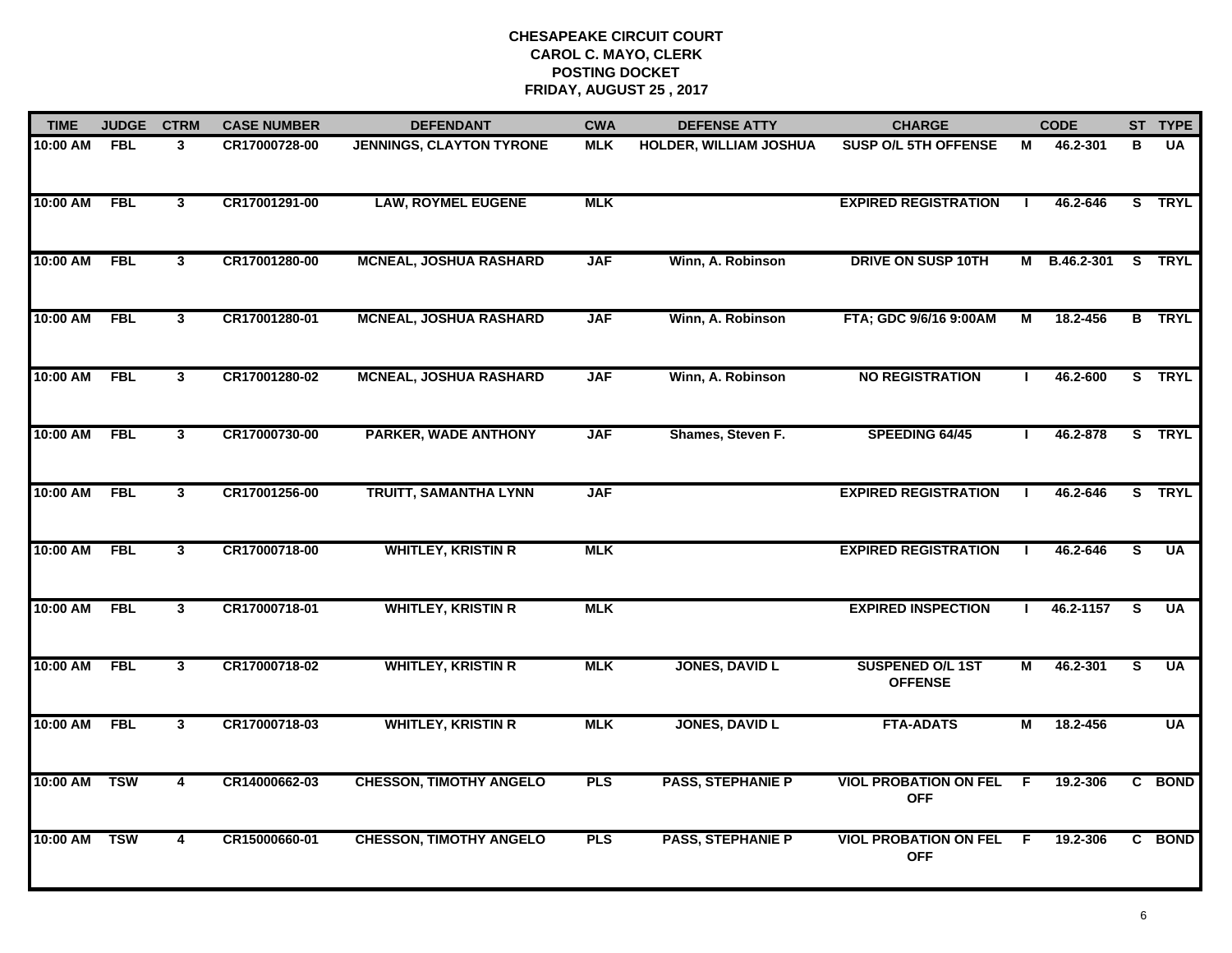| <b>TIME</b>  | <b>JUDGE</b> | <b>CTRM</b>             | <b>CASE NUMBER</b> | <b>DEFENDANT</b>                | <b>CWA</b> | <b>DEFENSE ATTY</b>           | <b>CHARGE</b>                              |              | <b>CODE</b>  |          | ST TYPE                 |
|--------------|--------------|-------------------------|--------------------|---------------------------------|------------|-------------------------------|--------------------------------------------|--------------|--------------|----------|-------------------------|
| 10:00 AM     | <b>FBL</b>   | 3                       | CR17000728-00      | <b>JENNINGS, CLAYTON TYRONE</b> | <b>MLK</b> | <b>HOLDER, WILLIAM JOSHUA</b> | <b>SUSP O/L 5TH OFFENSE</b>                | М            | 46.2-301     | в        | <b>UA</b>               |
| 10:00 AM     | <b>FBL</b>   | $\mathbf{3}$            | CR17001291-00      | <b>LAW, ROYMEL EUGENE</b>       | <b>MLK</b> |                               | <b>EXPIRED REGISTRATION</b>                |              | 46.2-646     |          | S TRYL                  |
| 10:00 AM     | <b>FBL</b>   | $\mathbf{3}$            | CR17001280-00      | <b>MCNEAL, JOSHUA RASHARD</b>   | <b>JAF</b> | Winn, A. Robinson             | <b>DRIVE ON SUSP 10TH</b>                  |              | M B.46.2-301 |          | S TRYL                  |
| 10:00 AM     | <b>FBL</b>   | $\mathbf{3}$            | CR17001280-01      | <b>MCNEAL, JOSHUA RASHARD</b>   | <b>JAF</b> | Winn, A. Robinson             | FTA; GDC 9/6/16 9:00AM                     | М            | 18.2-456     |          | <b>B</b> TRYL           |
| 10:00 AM     | <b>FBL</b>   | $\mathbf{3}$            | CR17001280-02      | <b>MCNEAL, JOSHUA RASHARD</b>   | <b>JAF</b> | Winn, A. Robinson             | <b>NO REGISTRATION</b>                     |              | 46.2-600     |          | S TRYL                  |
| 10:00 AM FBL |              | $\mathbf{3}$            | CR17000730-00      | <b>PARKER, WADE ANTHONY</b>     | <b>JAF</b> | Shames, Steven F.             | SPEEDING 64/45                             | $\mathbf{I}$ | 46.2-878     |          | S TRYL                  |
| 10:00 AM     | <b>FBL</b>   | $\mathbf{3}$            | CR17001256-00      | TRUITT, SAMANTHA LYNN           | <b>JAF</b> |                               | <b>EXPIRED REGISTRATION</b>                | $\mathbf{I}$ | 46.2-646     |          | S TRYL                  |
| 10:00 AM     | <b>FBL</b>   | $\mathbf{3}$            | CR17000718-00      | <b>WHITLEY, KRISTIN R</b>       | <b>MLK</b> |                               | <b>EXPIRED REGISTRATION</b>                |              | 46.2-646     | S        | $\overline{\mathsf{U}}$ |
| 10:00 AM     | <b>FBL</b>   | 3                       | CR17000718-01      | <b>WHITLEY, KRISTIN R</b>       | <b>MLK</b> |                               | <b>EXPIRED INSPECTION</b>                  |              | 46.2-1157    | <b>S</b> | UA                      |
| 10:00 AM     | <b>FBL</b>   | $\mathbf{3}$            | CR17000718-02      | <b>WHITLEY, KRISTIN R</b>       | <b>MLK</b> | <b>JONES, DAVID L</b>         | SUSPENED O/L 1ST<br><b>OFFENSE</b>         | М            | 46.2-301     | S        | <b>UA</b>               |
| 10:00 AM     | FBL          | $\mathbf{3}$            | CR17000718-03      | <b>WHITLEY, KRISTIN R</b>       | <b>MLK</b> | <b>JONES, DAVID L</b>         | <b>FTA-ADATS</b>                           | М            | 18.2-456     |          | <b>UA</b>               |
| 10:00 AM     | <b>TSW</b>   | $\overline{\mathbf{4}}$ | CR14000662-03      | <b>CHESSON, TIMOTHY ANGELO</b>  | <b>PLS</b> | <b>PASS, STEPHANIE P</b>      | <b>VIOL PROBATION ON FEL</b><br><b>OFF</b> | E            | 19.2-306     |          | C BOND                  |
| 10:00 AM     | <b>TSW</b>   | 4                       | CR15000660-01      | <b>CHESSON, TIMOTHY ANGELO</b>  | <b>PLS</b> | <b>PASS, STEPHANIE P</b>      | <b>VIOL PROBATION ON FEL</b><br><b>OFF</b> | -F           | 19.2-306     |          | C BOND                  |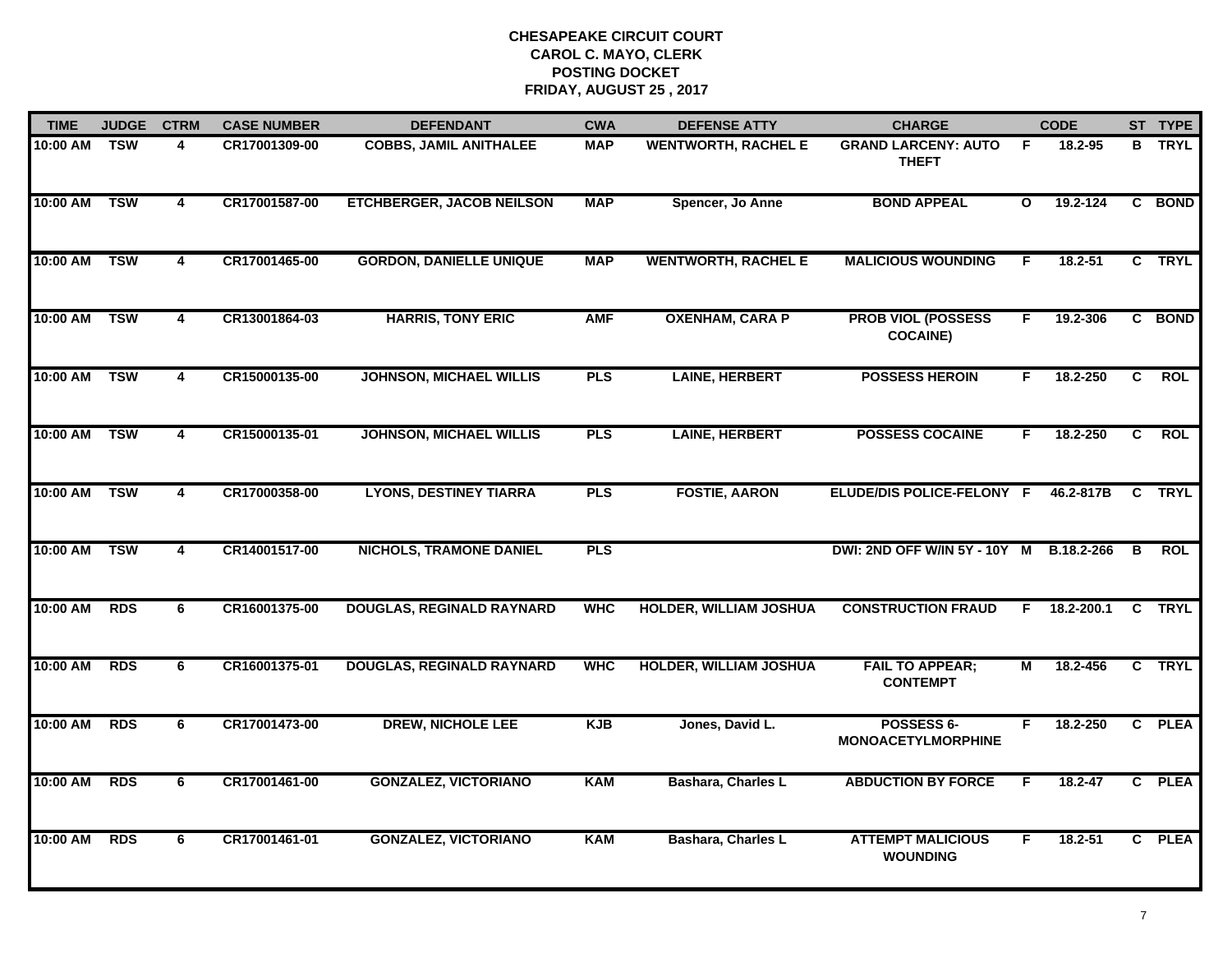| <b>TIME</b>  | <b>JUDGE</b> | <b>CTRM</b>             | <b>CASE NUMBER</b> | <b>DEFENDANT</b>                 | <b>CWA</b> | <b>DEFENSE ATTY</b>           | <b>CHARGE</b>                                |              | <b>CODE</b> |                | ST TYPE       |
|--------------|--------------|-------------------------|--------------------|----------------------------------|------------|-------------------------------|----------------------------------------------|--------------|-------------|----------------|---------------|
| 10:00 AM     | <b>TSW</b>   | 4                       | CR17001309-00      | <b>COBBS, JAMIL ANITHALEE</b>    | <b>MAP</b> | <b>WENTWORTH, RACHEL E</b>    | <b>GRAND LARCENY: AUTO</b><br><b>THEFT</b>   | -F           | 18.2-95     |                | <b>B</b> TRYL |
| 10:00 AM     | <b>TSW</b>   | $\overline{\mathbf{4}}$ | CR17001587-00      | <b>ETCHBERGER, JACOB NEILSON</b> | <b>MAP</b> | Spencer, Jo Anne              | <b>BOND APPEAL</b>                           | $\mathbf{o}$ | 19.2-124    |                | C BOND        |
| 10:00 AM     | <b>TSW</b>   | $\overline{4}$          | CR17001465-00      | <b>GORDON, DANIELLE UNIQUE</b>   | <b>MAP</b> | <b>WENTWORTH, RACHEL E</b>    | <b>MALICIOUS WOUNDING</b>                    | F            | $18.2 - 51$ |                | C TRYL        |
| 10:00 AM     | <b>TSW</b>   | 4                       | CR13001864-03      | <b>HARRIS, TONY ERIC</b>         | <b>AMF</b> | <b>OXENHAM, CARA P</b>        | <b>PROB VIOL (POSSESS</b><br><b>COCAINE)</b> | F.           | 19.2-306    |                | C BOND        |
| 10:00 AM     | <b>TSW</b>   | 4                       | CR15000135-00      | <b>JOHNSON, MICHAEL WILLIS</b>   | <b>PLS</b> | <b>LAINE, HERBERT</b>         | <b>POSSESS HEROIN</b>                        | F.           | 18.2-250    | C.             | <b>ROL</b>    |
| 10:00 AM TSW |              | 4                       | CR15000135-01      | <b>JOHNSON, MICHAEL WILLIS</b>   | <b>PLS</b> | <b>LAINE, HERBERT</b>         | <b>POSSESS COCAINE</b>                       | F.           | 18.2-250    | $\overline{c}$ | <b>ROL</b>    |
| 10:00 AM TSW |              | $\overline{4}$          | CR17000358-00      | <b>LYONS, DESTINEY TIARRA</b>    | PLS        | <b>FOSTIE, AARON</b>          | ELUDE/DIS POLICE-FELONY F                    |              | 46.2-817B   | C              | <b>TRYL</b>   |
| 10:00 AM TSW |              | 4                       | CR14001517-00      | <b>NICHOLS, TRAMONE DANIEL</b>   | <b>PLS</b> |                               | DWI: 2ND OFF W/IN 5Y - 10Y M B.18.2-266      |              |             | $\overline{B}$ | <b>ROL</b>    |
| 10:00 AM     | <b>RDS</b>   | 6                       | CR16001375-00      | <b>DOUGLAS, REGINALD RAYNARD</b> | <b>WHC</b> | <b>HOLDER, WILLIAM JOSHUA</b> | <b>CONSTRUCTION FRAUD</b>                    | F.           | 18.2-200.1  |                | C TRYL        |
| 10:00 AM     | <b>RDS</b>   | 6                       | CR16001375-01      | <b>DOUGLAS, REGINALD RAYNARD</b> | <b>WHC</b> | <b>HOLDER, WILLIAM JOSHUA</b> | <b>FAIL TO APPEAR;</b><br><b>CONTEMPT</b>    | Μ            | 18.2-456    |                | C TRYL        |
| 10:00 AM     | <b>RDS</b>   | 6                       | CR17001473-00      | <b>DREW, NICHOLE LEE</b>         | <b>KJB</b> | Jones, David L.               | POSSESS 6-<br><b>MONOACETYLMORPHINE</b>      | F.           | 18.2-250    |                | C PLEA        |
| 10:00 AM     | <b>RDS</b>   | 6                       | CR17001461-00      | <b>GONZALEZ, VICTORIANO</b>      | <b>KAM</b> | Bashara, Charles L            | <b>ABDUCTION BY FORCE</b>                    | F.           | $18.2 - 47$ |                | C PLEA        |
| 10:00 AM     | <b>RDS</b>   | 6                       | CR17001461-01      | <b>GONZALEZ, VICTORIANO</b>      | <b>KAM</b> | Bashara, Charles L            | <b>ATTEMPT MALICIOUS</b><br><b>WOUNDING</b>  | F.           | 18.2-51     |                | C PLEA        |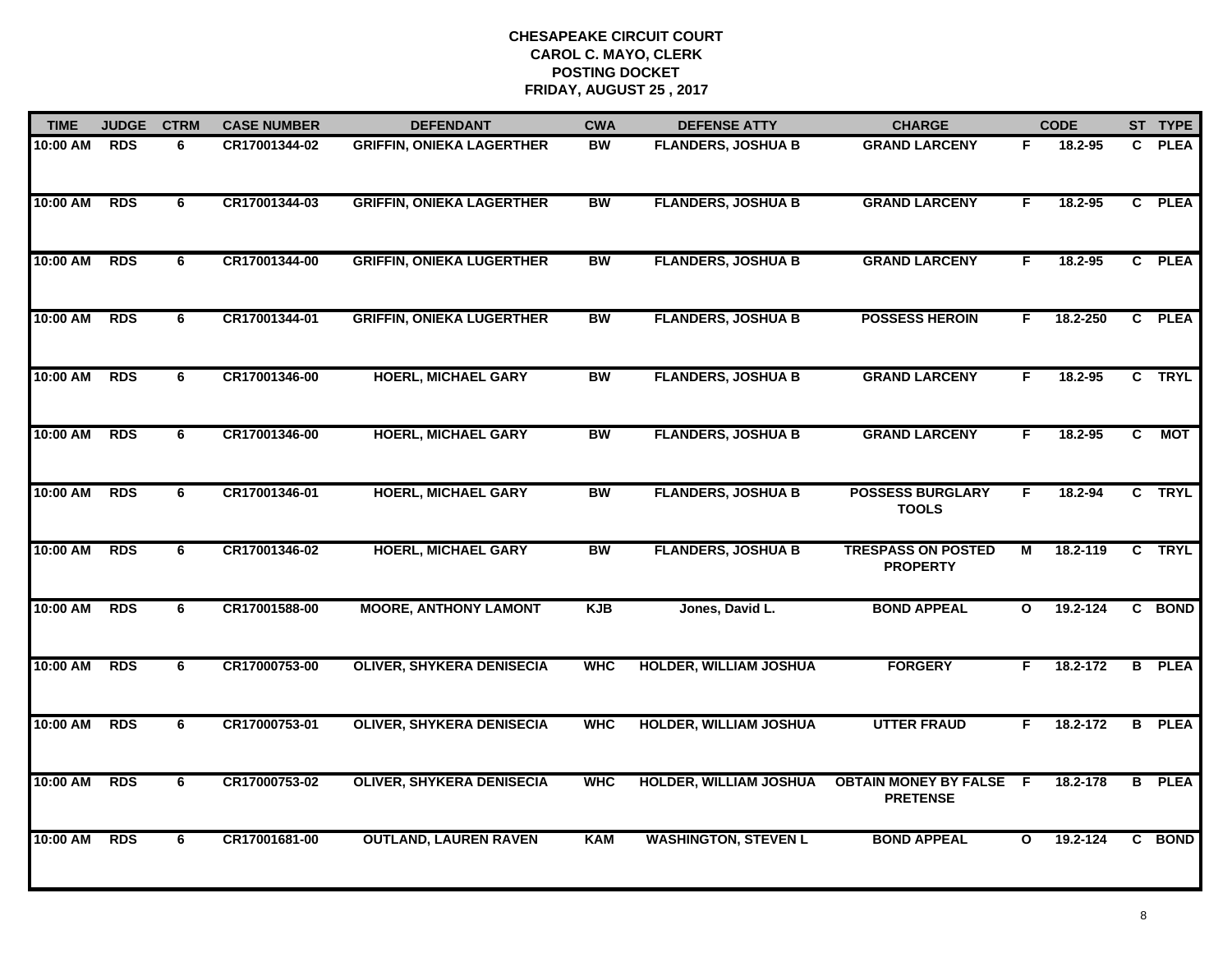| <b>TIME</b> | <b>JUDGE</b> | <b>CTRM</b> | <b>CASE NUMBER</b> | <b>DEFENDANT</b>                 | <b>CWA</b> | <b>DEFENSE ATTY</b>           | <b>CHARGE</b>                                   |              | <b>CODE</b> |                | ST TYPE       |
|-------------|--------------|-------------|--------------------|----------------------------------|------------|-------------------------------|-------------------------------------------------|--------------|-------------|----------------|---------------|
| 10:00 AM    | <b>RDS</b>   | 6           | CR17001344-02      | <b>GRIFFIN, ONIEKA LAGERTHER</b> | <b>BW</b>  | <b>FLANDERS, JOSHUA B</b>     | <b>GRAND LARCENY</b>                            | F.           | 18.2-95     |                | C PLEA        |
| 10:00 AM    | <b>RDS</b>   | 6           | CR17001344-03      | <b>GRIFFIN, ONIEKA LAGERTHER</b> | BW         | <b>FLANDERS, JOSHUA B</b>     | <b>GRAND LARCENY</b>                            | F.           | 18.2-95     |                | C PLEA        |
| 10:00 AM    | <b>RDS</b>   | 6           | CR17001344-00      | <b>GRIFFIN, ONIEKA LUGERTHER</b> | <b>BW</b>  | <b>FLANDERS, JOSHUA B</b>     | <b>GRAND LARCENY</b>                            | F.           | 18.2-95     |                | C PLEA        |
| 10:00 AM    | <b>RDS</b>   | 6           | CR17001344-01      | <b>GRIFFIN, ONIEKA LUGERTHER</b> | <b>BW</b>  | <b>FLANDERS, JOSHUA B</b>     | <b>POSSESS HEROIN</b>                           | F.           | 18.2-250    |                | C PLEA        |
| 10:00 AM    | <b>RDS</b>   | 6           | CR17001346-00      | <b>HOERL, MICHAEL GARY</b>       | <b>BW</b>  | <b>FLANDERS, JOSHUA B</b>     | <b>GRAND LARCENY</b>                            | F.           | $18.2 - 95$ |                | C TRYL        |
| 10:00 AM    | <b>RDS</b>   | 6           | CR17001346-00      | <b>HOERL, MICHAEL GARY</b>       | <b>BW</b>  | <b>FLANDERS, JOSHUA B</b>     | <b>GRAND LARCENY</b>                            | F.           | 18.2-95     | $\overline{c}$ | <b>MOT</b>    |
| 10:00 AM    | <b>RDS</b>   | 6           | CR17001346-01      | <b>HOERL, MICHAEL GARY</b>       | <b>BW</b>  | <b>FLANDERS, JOSHUA B</b>     | <b>POSSESS BURGLARY</b><br><b>TOOLS</b>         | F            | 18.2-94     |                | C TRYL        |
| 10:00 AM    | <b>RDS</b>   | 6           | CR17001346-02      | <b>HOERL, MICHAEL GARY</b>       | <b>BW</b>  | <b>FLANDERS, JOSHUA B</b>     | <b>TRESPASS ON POSTED</b><br><b>PROPERTY</b>    | М            | 18.2-119    |                | C TRYL        |
| 10:00 AM    | <b>RDS</b>   | 6           | CR17001588-00      | <b>MOORE, ANTHONY LAMONT</b>     | <b>KJB</b> | Jones, David L.               | <b>BOND APPEAL</b>                              | $\mathbf{o}$ | 19.2-124    |                | C BOND        |
| 10:00 AM    | <b>RDS</b>   | 6           | CR17000753-00      | <b>OLIVER, SHYKERA DENISECIA</b> | <b>WHC</b> | <b>HOLDER, WILLIAM JOSHUA</b> | <b>FORGERY</b>                                  | F.           | 18.2-172    |                | <b>B</b> PLEA |
| 10:00 AM    | <b>RDS</b>   | 6           | CR17000753-01      | <b>OLIVER, SHYKERA DENISECIA</b> | <b>WHC</b> | <b>HOLDER, WILLIAM JOSHUA</b> | <b>UTTER FRAUD</b>                              | F.           | 18.2-172    |                | <b>B</b> PLEA |
| 10:00 AM    | <b>RDS</b>   | 6           | CR17000753-02      | <b>OLIVER, SHYKERA DENISECIA</b> | <b>WHC</b> | <b>HOLDER, WILLIAM JOSHUA</b> | <b>OBTAIN MONEY BY FALSE</b><br><b>PRETENSE</b> | - F          | 18.2-178    |                | <b>B</b> PLEA |
| 10:00 AM    | <b>RDS</b>   | 6           | CR17001681-00      | <b>OUTLAND, LAUREN RAVEN</b>     | <b>KAM</b> | <b>WASHINGTON, STEVEN L</b>   | <b>BOND APPEAL</b>                              | $\mathbf{o}$ | 19.2-124    |                | C BOND        |